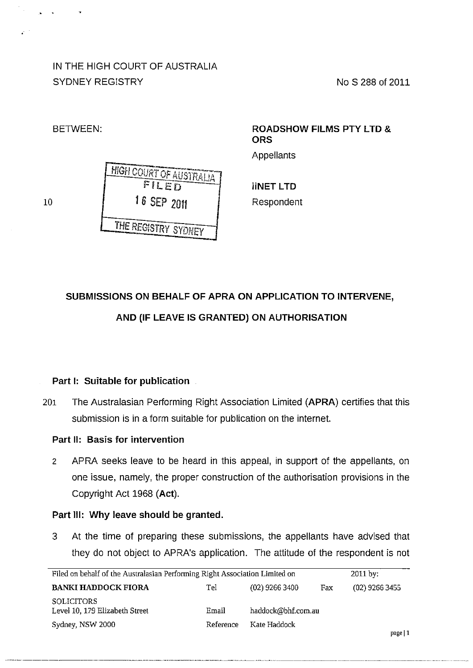IN THE HIGH COURT OF AUSTRALIA SYDNEY REGISTRY NO S 288 of 2011

**HIGH COURT OF AUSTRALIA** 10 **16 SEP 2011** THE REGISTRY SYDNEY

## BETWEEN: **ROADSHOW FILMS PTY LTD** & **ORS**

Appellants

**iiNET LTD**  Respondent

# **SUBMISSIONS ON BEHALF OF APRA ON APPLICATION TO INTERVENE, AND (IF LEAVE IS GRANTED) ON AUTHORISATION**

### **Part 1: Suitable for publication**

201 The Australasian Performing Right Association Limited **(APRA)** certifies that this submission is in a form suitable for publication on the internet.

### **Part II: Basis for intervention**

2 APRA seeks leave to be heard in this appeal, in support of the appellants, on one issue, namely, the proper construction of the authorisation provisions in the Copyright Act 1968 **(Act).** 

#### **Part Ill: Why leave should be granted.**

3 At the time of preparing these submissions, the appellants have advised that they do not object to APRA's application. The attitude of the respondent is not

| Filed on behalf of the Australasian Performing Right Association Limited on |           |                    | $2011$ by: |                  |
|-----------------------------------------------------------------------------|-----------|--------------------|------------|------------------|
| <b>BANKI HADDOCK FIORA</b>                                                  | Tel       | $(02)$ 9266 3400   | Fax        | $(02)$ 9266 3455 |
| <b>SOLICITORS</b><br>Level 10, 179 Elizabeth Street                         | Email     | haddock@bhf.com.au |            |                  |
| Sydney, NSW 2000                                                            | Reference | Kate Haddock       |            |                  |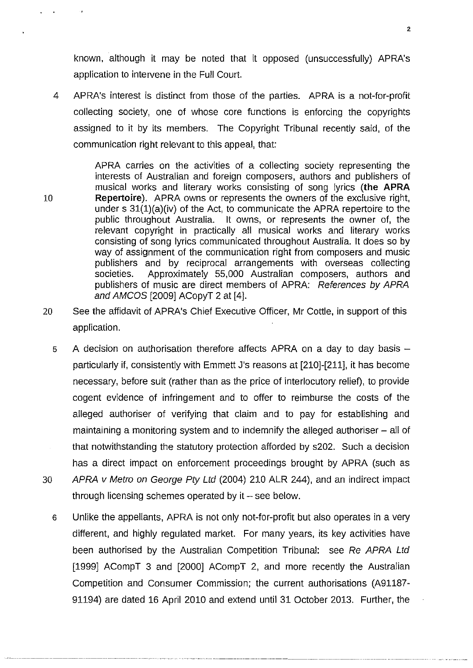known, although it may be noted that it opposed (unsuccessfully) APRA's application to intervene in the Full Court.

4 APRA's interest is distinct from those of the parties. APRA is a not-for-profit collecting society, one of whose core functions is enforcing the copyrights assigned to it by its members. The Copyright Tribunal recently said, of the communication right relevant to this appeal, that:

APRA carries on the activities of a collecting society representing the interests of Australian and foreign composers, authors and publishers of musical works and literary works consisting of song lyrics **(the APRA**  10 **Repertoire).** APRA owns or represents the owners of the exclusive right, under s 31(1)(a)(iv) of the Act, to communicate the APRA repertoire to the public throughout Australia. It owns, or represents the owner of, the relevant copyright in practically all musical works and literary works consisting of song lyrics communicated throughout Australia. It does so by way of assignment of the communication right from composers and music publishers and by reciprocal arrangements with overseas collecting societies. Approximately 55,000 Australian composers, authors and publishers of music are direct members of APRA: References by APRA and AMCOS [2009] ACopyT 2 at [4].

- 20 See the affidavit of APRA's Chief Executive Officer, Mr Cottle, in support of this application.
- 5 A decision on authorisation therefore affects APRA on a day to day basis  $$ particularly if, consistently with Emmett J's reasons at [210]-[211], it has become necessary, before suit (rather than as the price of interlocutory relief), to provide cogent evidence of infringement and to offer to reimburse the costs of the alleged authoriser of verifying that claim and to pay for establishing and maintaining a monitoring system and to indemnify the alleged authoriser- all of that notwithstanding the statutory protection afforded by s202. Such a decision has a direct impact on enforcement proceedings brought by APRA (such as 30 APRA v Metro on George Pty Ltd (2004) 210 ALR 244), and an indirect impact through licensing schemes operated by it  $-$  see below.
	- 6 Unlike the appellants, APRA is not only not-for-profit but also operates in a very different, and highly regulated market. For many years, its key activities have been authorised by the Australian Competition Tribunal: see Re APRA Ltd [1999] ACompT 3 and [2000] ACompT 2, and more recently the Australian Competition and Consumer Commission; the current authorisations (A91187- 91194) are dated 16 April 2010 and extend until 31 October 2013. Further, the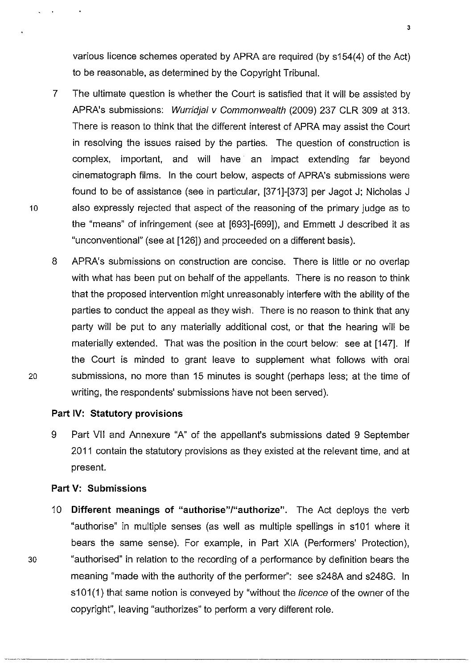various licence schemes operated by APRA are required (by s154(4) of the Act) to be reasonable, as determined by the Copyright Tribunal.

- 7 The ultimate question is whether the Court is satisfied that it will be assisted by APRA's submissions: Wurridjal v Commonwealth (2009) 237 CLR 309 at 313. There is reason to think that the different interest of APRA may assist the Court in resolving the issues raised by the parties. The question of construction is complex, important, and will have an impact extending far beyond cinematograph films. In the court below, aspects of APRA's submissions were found to be of assistance (see in particular, [371]-[373] per Jagot J; Nicholas J 10 also expressly rejected that aspect of the reasoning of the primary judge as to the "means" of infringement (see at [693]-[699]), and Emmett J described it as "unconventional" (see at [126]) and proceeded on a different basis).
- 8 APRA's submissions on construction are concise. There is little or no overlap with what has been put on behalf of the appellants. There is no reason to think that the proposed intervention might unreasonably interfere with the ability of the parties to conduct the appeal as they wish. There is no reason to think that any party will be put to any materially additional cost, or that the hearing will be materially extended. That was the position in the court below: see at [147]. If the Court is minded to grant leave to supplement what follows with oral 20 submissions, no more than 15 minutes is sought (perhaps less; at the time of writing, the respondents' submissions have not been served).

#### **Part IV: Statutory provisions**

9 Part VII and Annexure "A" of the appellant's submissions dated 9 September 2011 contain the statutory provisions as they existed at the relevant time, and at present.

#### **Part V: Submissions**

10 **Different meanings of "authorise"/"authorize".** The Act deploys the verb "authorise" in multiple senses (as well as multiple spellings in s101 where it bears the same sense). For example, in Part XIA (Performers' Protection), 30 "authorised" in relation to the recording of a performance by definition bears the meaning "made with the authority of the performer": see s248A and s248G. In s101(1) that same notion is conveyed by "without the *licence* of the owner of the copyright", leaving "authorizes" to perform a very different role.

----------------------------------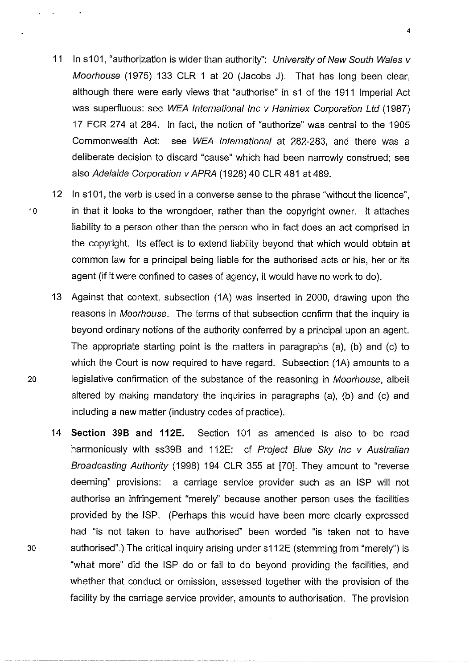- 11 In s101, "authorization is wider than authority": University of New South Wales y Moorhouse (1975) 133 CLR 1 at 20 (Jacobs J). That has long been clear, although there were early views that "authorise" in s1 of the 1911 Imperial Act was superfluous: see WEA International Inc v Hanimex Corporation Ltd (1987) 17 FCR 274 at 284. In fact, the notion of "authorize" was central to the 1905 Commonwealth Act: see WEA International at 282-283, and there was a deliberate decision to discard "cause" which had been narrowly construed; see also Adelaide Corporation v APRA (1928) 40 CLR 481 at 489.
- 12 In s101, the verb is used in a converse sense to the phrase "without the licence", 10 in that it looks to the wrongdoer, rather than the copyright owner. It attaches liability to a person other than the person who in fact does an act comprised in the copyright. Its effect is to extend liability beyond that which would obtain at common law for a principal being liable for the authorised acts or his, her or its agent (if it were confined to cases of agency, it would have no work to do).
- 13 Against that context, subsection (1A) was inserted in 2000, drawing upon the reasons in Moorhouse. The terms of that subsection confirm that the inquiry is beyond ordinary notions of the authority conferred by a principal upon an agent. The appropriate starting point is the matters in paragraphs (a), (b) and (c) to which the Court is now required to have regard. Subsection (1A) amounts to a 20 legislative confirmation of the substance of the reasoning in Moorhouse, albeit altered by making mandatory the inquiries in paragraphs (a), (b) and (c) and including a new matter (industry codes of practice).
- 14 **Section 398 and 112E.** Section 101 as amended is also to be read harmoniously with ss39B and 112E: cf Project Blue Sky Inc v Australian Broadcasting Authority (1998) 194 CLR 355 at [70]. They amount to "reverse deeming" provisions: a carriage service provider such as an ISP will not authorise an infringement "merely" because another person uses the facilities provided by the ISP. (Perhaps this would have been more clearly expressed had "is not taken to have authorised" been worded "is taken not to have 30 authorised".) The critical inquiry arising under s112E (stemming from "merely") is "what more" did the ISP do or fail to do beyond providing the facilities, and whether that conduct or omission, assessed together with the provision of the facility by the carriage service provider, amounts to authorisation. The provision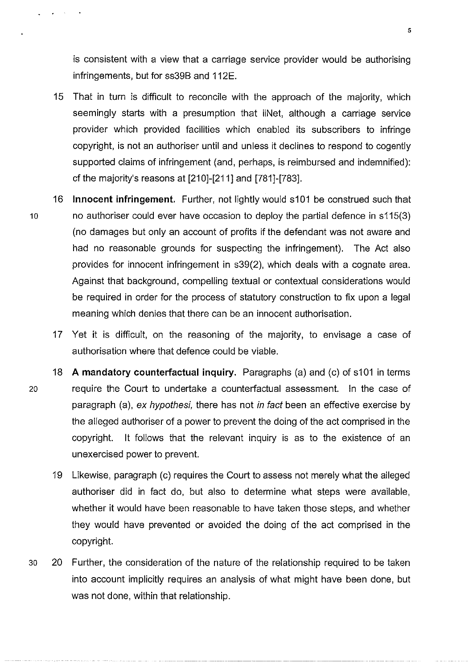is consistent with a view that a carriage service provider would be authorising infringements, but for ss39B and 112E.

- 15 That in turn is difficult to reconcile with the approach of the majority, which seemingly starts with a presumption that iiNet, although a carriage service provider which provided facilities which enabled its subscribers to infringe copyright, is not an authoriser until and unless it declines to respond to cogently supported claims of infringement (and, perhaps, is reimbursed and indemnified): cf the majority's reasons at  $[210]-[211]$  and  $[781]-[783]$ .
- 16 **Innocent infringement.** Further, not lightly would s101 be construed such that 10 no authoriser could ever have occasion to deploy the partial defence in s115(3) (no damages but only an account of profits if the defendant was not aware and had no reasonable grounds for suspecting the infringement). The Act also provides for innocent infringement in s39(2), which deals with a cognate area. Against that background, compelling textual or contextual considerations would be required in order for the process of statutory construction to fix upon a legal meaning which denies that there can be an innocent authorisation.
	- 17 Yet it is difficult, on the reasoning of the majority, to envisage a case of authorisation where that defence could be viable.
- 18 **A mandatory counterfactual inquiry.** Paragraphs (a) and (c) of s101 in terms 20 require the Court to undertake a counterfactual assessment. In the case of paragraph (a), ex hypothesi, there has not in fact been an effective exercise by the alleged authoriser of a power to prevent the doing of the act comprised in the copyright. It follows that the relevant inquiry is as to the existence of an unexercised power to prevent.
	- 19 Likewise, paragraph (c) requires the Court to assess not merely what the alleged authoriser did in fact do, but also to determine what steps were available, whether it would have been reasonable to have taken those steps, and whether they would have prevented or avoided the doing of the act comprised in the copyright.
- 30 20 Further, the consideration of the nature of the relationship required to be taken into account implicitly requires an analysis of what might have been done, but was not done, within that relationship.

 $\mathbf{z}^{\mathrm{max}}$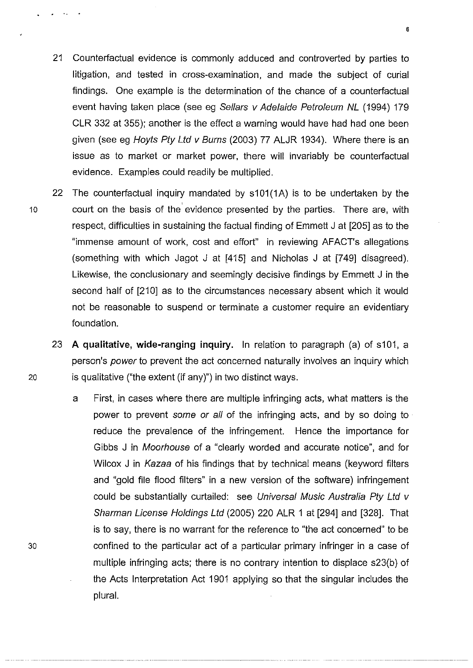- 21 Counterfactual evidence is commonly adduced and controverted by parties to litigation, and tested in cross-examination, and made the subject of curial findings. One example is the determination of the chance of a counterfactual event having taken place (see eg Sellars v Adelaide Petroleum NL (1994) 179 CLR 332 at 355); another is the effect a warning would have had had one been given (see eg Hoyts Pty Ltd y Burns (2003) 77 ALJR 1934). Where there is an issue as to market or market power, there will invariably be counterfactual evidence. Examples could readily be multiplied.
- 22 The counterfactual inquiry mandated by s101(1A) is to be undertaken by the 10 court on the basis of the evidence presented by the parties. There are, with respect, difficulties in sustaining the factual finding of Emmett J at [205] as to the "immense amount of work, cost and effort" in reviewing AFACT's allegations (something with which Jagot J at [415] and Nicholas J at [749] disagreed). Likewise, the conclusionary and seemingly decisive findings by Emmett J in the second half of [210] as to the circumstances necessary absent which it would not be reasonable to suspend or terminate a customer require an evidentiary foundation.
- 23 **A qualitative, wide-ranging inquiry.** In relation to paragraph (a) of s101, a person's power to prevent the act concerned naturally involves an inquiry which 20 is qualitative ("the extent (if any)") in two distinct ways.
	- a First, in cases where there are multiple infringing acts, what matters is the power to prevent some or all of the infringing acts, and by so doing to reduce the prevalence of the infringement. Hence the importance for Gibbs J in Moorhouse of a "clearly worded and accurate notice", and for Wilcox J in Kazaa of his findings that by technical means (keyword filters and "gold file flood filters" in a new version of the software) infringement could be substantially curtailed: see Universal Music Australia Pty Ltd v Sharman License Holdings Ltd (2005) 220 ALR 1 at [294] and [328]. That is to say, there is no warrant for the reference to "the act concerned" to be confined to the particular act of a particular primary infringer in a case of multiple infringing acts; there is no contrary intention to displace s23(b) of the Acts Interpretation Act 1901 applying so that the singular includes the plural.

30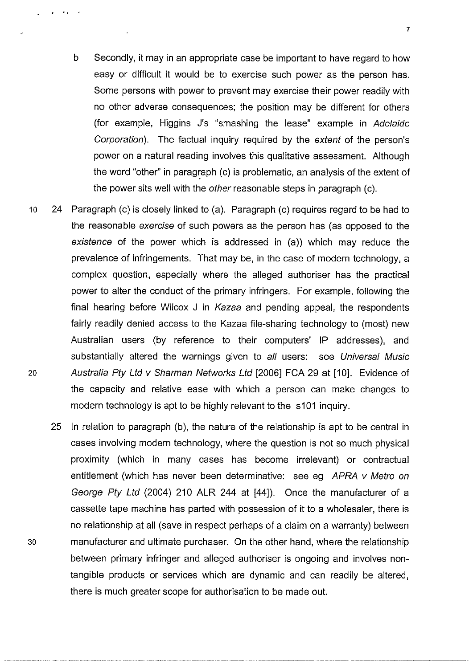- b Secondly, it may in an appropriate case be important to have regard to how easy or difficult it would be to exercise such power as the person has. Some persons with power to prevent may exercise their power readily with no other adverse consequences; the position may be different for others (for example, Higgins J's "smashing the lease" example in Adelaide Corporation). The factual inquiry required by the extent of the person's power on a natural reading involves this qualitative assessment. Although the word "other" in paragraph (c) is problematic, an analysis of the extent of the power sits well with the other reasonable steps in paragraph (c).
- 10 24 Paragraph (c) is closely linked to (a). Paragraph (c) requires regard to be had to the reasonable exercise of such powers as the person has (as opposed to the existence of the power which is addressed in (a)) which may reduce the prevalence of infringements. That may be, in the case of modern technology, a complex question, especially where the alleged authoriser has the practical power to alter the conduct of the primary infringers. For example, following the final hearing before Wilcox J in Kazaa and pending appeal, the respondents fairly readily denied access to the Kazaa file-sharing technology to (most) new Australian users (by reference to their computers' IP addresses), and substantially altered the warnings given to all users: see Universal Music 20 Australia Pty Ltd v Sharman Networks Ltd [2006] FCA 29 at [10]. Evidence of the capacity and relative ease with which a person can make changes to modern technology is apt to be highly relevant to the s101 inquiry.
- 25 In relation to paragraph (b), the nature of the relationship is apt to be central in cases involving modern technology, where the question is not so much physical proximity (which in many cases has become irrelevant) or contractual entitlement (which has never been determinative: see eg APRA v Metro on George Pty Ltd (2004) 210 ALR 244 at [44]). Once the manufacturer of a cassette tape machine has parted with possession of it to a wholesaler, there is no relationship at all (save in respect perhaps of a claim on a warranty) between 30 manufacturer and ultimate purchaser. On the other hand, where the relationship between primary infringer and alleged authoriser is ongoing and involves nontangible products or services which are dynamic and can readily be altered, there is much greater scope for authorisation to be made out.

. . . .